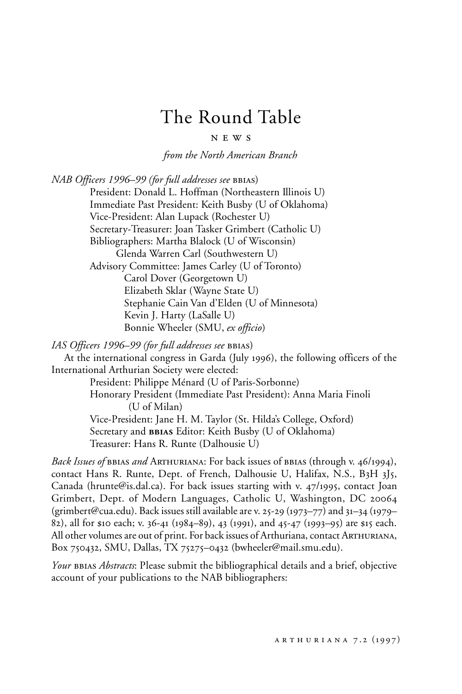## The Round Table

n e w s

*from the North American Branch*

*NAB Officers 1996–99 (for full addresses see BBIAS)* 

President: Donald L. Hoffman (Northeastern Illinois U) Immediate Past President: Keith Busby (U of Oklahoma) Vice-President: Alan Lupack (Rochester U) Secretary-Treasurer: Joan Tasker Grimbert (Catholic U) Bibliographers: Martha Blalock (U of Wisconsin) Glenda Warren Carl (Southwestern U) Advisory Committee: James Carley (U of Toronto) Carol Dover (Georgetown U) Elizabeth Sklar (Wayne State U) Stephanie Cain Van d'Elden (U of Minnesota) Kevin J. Harty (LaSalle U) Bonnie Wheeler (SMU, *ex officio*)

*IAS Officers 1996–99 (for full addresses see* bbias)

At the international congress in Garda (July 1996), the following officers of the International Arthurian Society were elected:

President: Philippe Ménard (U of Paris-Sorbonne) Honorary President (Immediate Past President): Anna Maria Finoli (U of Milan) Vice-President: Jane H. M. Taylor (St. Hilda's College, Oxford) Secretary and **bbias** Editor: Keith Busby (U of Oklahoma) Treasurer: Hans R. Runte (Dalhousie U)

*Back Issues of* bbias *and* Arthuriana: For back issues of bbias (through v. 46/1994), contact Hans R. Runte, Dept. of French, Dalhousie U, Halifax, N.S., B3H 3J5, Canada (hrunte@is.dal.ca). For back issues starting with v. 47/1995, contact Joan Grimbert, Dept. of Modern Languages, Catholic U, Washington, DC 20064 (grimbert@cua.edu). Back issues still available are v. 25-29 (1973–77) and 31–34 (1979– 82), all for \$10 each; v. 36-41 (1984–89), 43 (1991), and 45-47 (1993–95) are \$15 each. All other volumes are out of print. For back issues of Arthuriana, contact Arthuriana, Box 750432, SMU, Dallas, TX 75275–0432 (bwheeler@mail.smu.edu).

*Your* BBIAS *Abstracts*: Please submit the bibliographical details and a brief, objective account of your publications to the NAB bibliographers: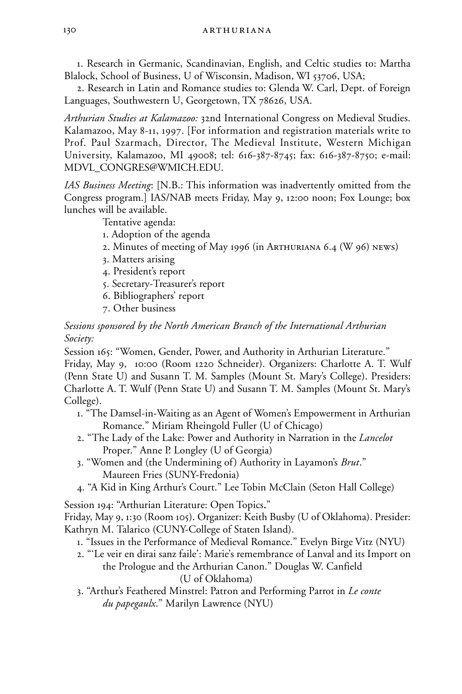1. Research in Germanic, Scandinavian, English, and Celtic studies to: Martha Blalock, School of Business, U of Wisconsin, Madison, WI 53706, USA;

2. Research in Latin and Romance studies to: Glenda W. Carl, Dept. of Foreign Languages, Southwestern U, Georgetown, TX 78626, USA.

*Arthurian Studies at Kalamazoo:* 32nd International Congress on Medieval Studies. Kalamazoo, May 8-11, 1997. [For information and registration materials write to Prof. Paul Szarmach, Director, The Medieval Institute, Western Michigan University, Kalamazoo, MI 49008; tel: 616-387-8745; fax: 616-387-8750; e-mail: MDVL\_CONGRES@WMICH.EDU.

*IAS Business Meeting*: [N.B.: This information was inadvertently omitted from the Congress program.] IAS/NAB meets Friday, May 9, 12:00 noon; Fox Lounge; box lunches will be available.

Tentative agenda:

- 1. Adoption of the agenda
- 2. Minutes of meeting of May 1996 (in Arthuriana 6.4 (W 96) news)
- 3. Matters arising
- 4. President's report
- 5. Secretary-Treasurer's report
- 6. Bibliographers' report
- 7. Other business

*Sessions sponsored by the North American Branch of the International Arthurian Society:*

Session 165: "Women, Gender, Power, and Authority in Arthurian Literature." Friday, May 9, 10:00 (Room 1220 Schneider). Organizers: Charlotte A. T. Wulf (Penn State U) and Susann T. M. Samples (Mount St. Mary's College). Presiders: Charlotte A. T. Wulf (Penn State U) and Susann T. M. Samples (Mount St. Mary's College).

- 1. "The Damsel-in-Waiting as an Agent of Women's Empowerment in Arthurian Romance." Miriam Rheingold Fuller (U of Chicago)
- 2. "The Lady of the Lake: Power and Authority in Narration in the *Lancelot* Proper." Anne P. Longley (U of Georgia)
- 3. "Women and (the Undermining of) Authority in Layamon's *Brut*." Maureen Fries (SUNY-Fredonia)
- 4. "A Kid in King Arthur's Court." Lee Tobin McClain (Seton Hall College)

Session 194: "Arthurian Literature: Open Topics."

Friday, May 9, 1:30 (Room 105). Organizer: Keith Busby (U of Oklahoma). Presider: Kathryn M. Talarico (CUNY-College of Staten Island).

- 1. "Issues in the Performance of Medieval Romance." Evelyn Birge Vitz (NYU)
- 2. "'Le veir en dirai sanz faile': Marie's remembrance of Lanval and its Import on the Prologue and the Arthurian Canon." Douglas W. Canfield (U of Oklahoma)
- 3. "Arthur's Feathered Minstrel: Patron and Performing Parrot in *Le conte du papegaulx*." Marilyn Lawrence (NYU)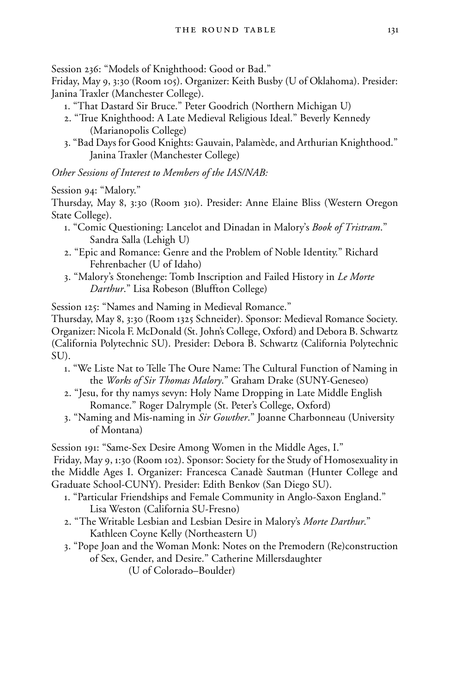Session 236: "Models of Knighthood: Good or Bad."

Friday, May 9, 3:30 (Room 105). Organizer: Keith Busby (U of Oklahoma). Presider: Janina Traxler (Manchester College).

- 1. "That Dastard Sir Bruce." Peter Goodrich (Northern Michigan U)
- 2. "True Knighthood: A Late Medieval Religious Ideal." Beverly Kennedy (Marianopolis College)
- 3. "Bad Days for Good Knights: Gauvain, Palamède, and Arthurian Knighthood." Janina Traxler (Manchester College)

*Other Sessions of Interest to Members of the IAS/NAB:*

Session 94: "Malory."

Thursday, May 8, 3:30 (Room 310). Presider: Anne Elaine Bliss (Western Oregon State College).

- 1. "Comic Questioning: Lancelot and Dinadan in Malory's *Book of Tristram*." Sandra Salla (Lehigh U)
- 2. "Epic and Romance: Genre and the Problem of Noble Identity." Richard Fehrenbacher (U of Idaho)
- 3. "Malory's Stonehenge: Tomb Inscription and Failed History in *Le Morte Darthur*." Lisa Robeson (Bluffton College)

Session 125: "Names and Naming in Medieval Romance."

Thursday, May 8, 3:30 (Room 1325 Schneider). Sponsor: Medieval Romance Society. Organizer: Nicola F. McDonald (St. John's College, Oxford) and Debora B. Schwartz (California Polytechnic SU). Presider: Debora B. Schwartz (California Polytechnic SU).

- 1. "We Liste Nat to Telle The Oure Name: The Cultural Function of Naming in the *Works of Sir Thomas Malory*." Graham Drake (SUNY-Geneseo)
- 2. "Jesu, for thy namys sevyn: Holy Name Dropping in Late Middle English Romance." Roger Dalrymple (St. Peter's College, Oxford)
- 3. "Naming and Mis-naming in *Sir Gowther*." Joanne Charbonneau (University of Montana)

Session 191: "Same-Sex Desire Among Women in the Middle Ages, I."

 Friday, May 9, 1:30 (Room 102). Sponsor: Society for the Study of Homosexuality in the Middle Ages I. Organizer: Francesca Canadè Sautman (Hunter College and Graduate School-CUNY). Presider: Edith Benkov (San Diego SU).

- 1. "Particular Friendships and Female Community in Anglo-Saxon England." Lisa Weston (California SU-Fresno)
- 2. "The Writable Lesbian and Lesbian Desire in Malory's *Morte Darthur*." Kathleen Coyne Kelly (Northeastern U)
- 3. "Pope Joan and the Woman Monk: Notes on the Premodern (Re)construction of Sex, Gender, and Desire." Catherine Millersdaughter

(U of Colorado–Boulder)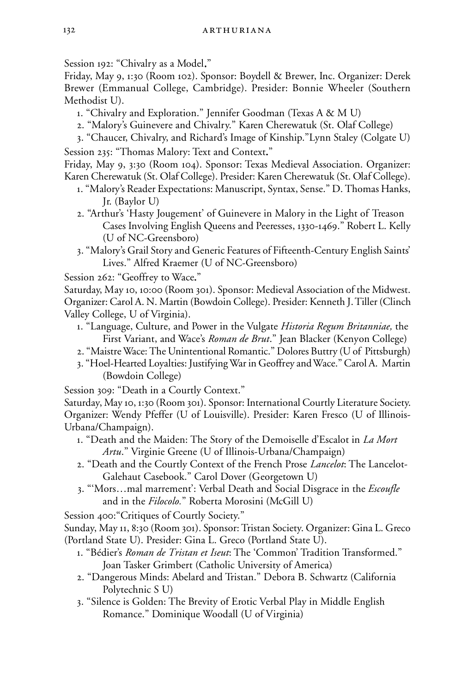Session 192: "Chivalry as a Model."

Friday, May 9, 1:30 (Room 102). Sponsor: Boydell & Brewer, Inc. Organizer: Derek Brewer (Emmanual College, Cambridge). Presider: Bonnie Wheeler (Southern Methodist U).

- 1. "Chivalry and Exploration." Jennifer Goodman (Texas A & M U)
- 2. "Malory's Guinevere and Chivalry." Karen Cherewatuk (St. Olaf College)
- 3. "Chaucer, Chivalry, and Richard's Image of Kinship."Lynn Staley (Colgate U)

Session 235: "Thomas Malory: Text and Context."

Friday, May 9, 3:30 (Room 104). Sponsor: Texas Medieval Association. Organizer: Karen Cherewatuk (St. Olaf College). Presider: Karen Cherewatuk (St. Olaf College).

- 1. "Malory's Reader Expectations: Manuscript, Syntax, Sense." D. Thomas Hanks, Jr. (Baylor U)
- 2. "Arthur's 'Hasty Jougement' of Guinevere in Malory in the Light of Treason Cases Involving English Queens and Peeresses, 1330-1469." Robert L. Kelly (U of NC-Greensboro)
- 3. "Malory's Grail Story and Generic Features of Fifteenth-Century English Saints' Lives." Alfred Kraemer (U of NC-Greensboro)

Session 262: "Geoffrey to Wace."

Saturday, May 10, 10:00 (Room 301). Sponsor: Medieval Association of the Midwest. Organizer: Carol A. N. Martin (Bowdoin College). Presider: Kenneth J. Tiller (Clinch Valley College, U of Virginia).

- 1. "Language, Culture, and Power in the Vulgate *Historia Regum Britanniae,* the First Variant, and Wace's *Roman de Brut*." Jean Blacker (Kenyon College)
- 2. "Maistre Wace: The Unintentional Romantic." Dolores Buttry (U of Pittsburgh)
- 3. "Hoel-Hearted Loyalties: Justifying War in Geoffrey and Wace." Carol A. Martin (Bowdoin College)

Session 309: "Death in a Courtly Context."

Saturday, May 10, 1:30 (Room 301). Sponsor: International Courtly Literature Society. Organizer: Wendy Pfeffer (U of Louisville). Presider: Karen Fresco (U of Illinois-Urbana/Champaign).

- 1. "Death and the Maiden: The Story of the Demoiselle d'Escalot in *La Mort Artu*." Virginie Greene (U of Illinois-Urbana/Champaign)
- 2. "Death and the Courtly Context of the French Prose *Lancelot*: The Lancelot-Galehaut Casebook." Carol Dover (Georgetown U)
- 3. "'Mors…mal marrement': Verbal Death and Social Disgrace in the *Escoufle* and in the *Filocolo.*" Roberta Morosini (McGill U)

Session 400:"Critiques of Courtly Society."

Sunday, May 11, 8:30 (Room 301). Sponsor: Tristan Society. Organizer: Gina L. Greco (Portland State U). Presider: Gina L. Greco (Portland State U).

- 1. "Bédier's *Roman de Tristan et Iseut*: The 'Common' Tradition Transformed." Joan Tasker Grimbert (Catholic University of America)
- 2. "Dangerous Minds: Abelard and Tristan." Debora B. Schwartz (California Polytechnic S U)
- 3. "Silence is Golden: The Brevity of Erotic Verbal Play in Middle English Romance." Dominique Woodall (U of Virginia)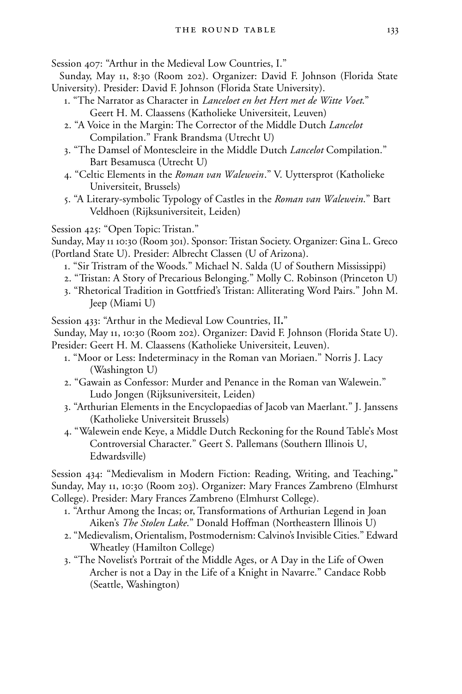Session 407: "Arthur in the Medieval Low Countries, I."

- Sunday, May 11, 8:30 (Room 202). Organizer: David F. Johnson (Florida State University). Presider: David F. Johnson (Florida State University).
	- 1. "The Narrator as Character in *Lanceloet en het Hert met de Witte Voet*." Geert H. M. Claassens (Katholieke Universiteit, Leuven)
	- 2. "A Voice in the Margin: The Corrector of the Middle Dutch *Lancelot* Compilation." Frank Brandsma (Utrecht U)
	- 3. "The Damsel of Montescleire in the Middle Dutch *Lancelot* Compilation." Bart Besamusca (Utrecht U)
	- 4. "Celtic Elements in the *Roman van Walewein*." V. Uyttersprot (Katholieke Universiteit, Brussels)
	- 5. "A Literary-symbolic Typology of Castles in the *Roman van Walewein*." Bart Veldhoen (Rijksuniversiteit, Leiden)

Session 425: "Open Topic: Tristan."

- Sunday, May 11 10:30 (Room 301). Sponsor: Tristan Society. Organizer: Gina L. Greco (Portland State U). Presider: Albrecht Classen (U of Arizona).
	- 1. "Sir Tristram of the Woods." Michael N. Salda (U of Southern Mississippi)
	- 2. "Tristan: A Story of Precarious Belonging." Molly C. Robinson (Princeton U)
	- 3. "Rhetorical Tradition in Gottfried's Tristan: Alliterating Word Pairs." John M. Jeep (Miami U)

Session 433: "Arthur in the Medieval Low Countries, II."

Sunday, May 11, 10:30 (Room 202). Organizer: David F. Johnson (Florida State U).

Presider: Geert H. M. Claassens (Katholieke Universiteit, Leuven).

- 1. "Moor or Less: Indeterminacy in the Roman van Moriaen." Norris J. Lacy (Washington U)
- 2. "Gawain as Confessor: Murder and Penance in the Roman van Walewein." Ludo Jongen (Rijksuniversiteit, Leiden)
- 3. "Arthurian Elements in the Encyclopaedias of Jacob van Maerlant." J. Janssens (Katholieke Universiteit Brussels)
- 4. "Walewein ende Keye, a Middle Dutch Reckoning for the Round Table's Most Controversial Character." Geert S. Pallemans (Southern Illinois U, Edwardsville)

Session 434: "Medievalism in Modern Fiction: Reading, Writing, and Teaching." Sunday, May 11, 10:30 (Room 203). Organizer: Mary Frances Zambreno (Elmhurst College). Presider: Mary Frances Zambreno (Elmhurst College).

- 1. "Arthur Among the Incas; or, Transformations of Arthurian Legend in Joan Aiken's *The Stolen Lake*." Donald Hoffman (Northeastern Illinois U)
- 2. "Medievalism, Orientalism, Postmodernism: Calvino's Invisible Cities." Edward Wheatley (Hamilton College)
- 3. "The Novelist's Portrait of the Middle Ages, or A Day in the Life of Owen Archer is not a Day in the Life of a Knight in Navarre." Candace Robb (Seattle, Washington)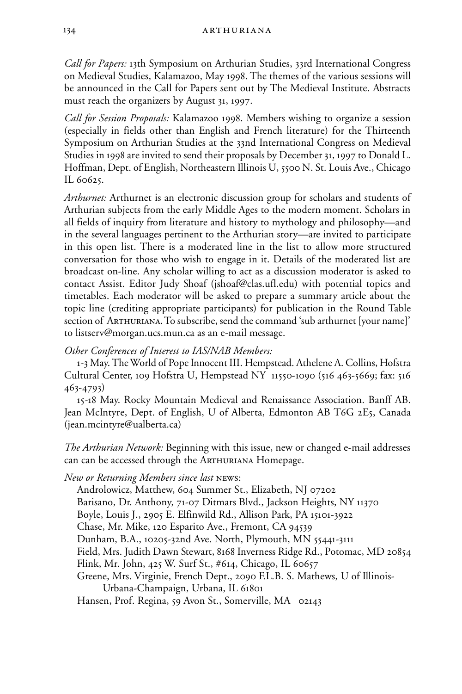*Call for Papers:* 13th Symposium on Arthurian Studies, 33rd International Congress on Medieval Studies, Kalamazoo, May 1998. The themes of the various sessions will be announced in the Call for Papers sent out by The Medieval Institute. Abstracts must reach the organizers by August 31, 1997.

*Call for Session Proposals:* Kalamazoo 1998. Members wishing to organize a session (especially in fields other than English and French literature) for the Thirteenth Symposium on Arthurian Studies at the 33nd International Congress on Medieval Studies in 1998 are invited to send their proposals by December 31, 1997 to Donald L. Hoffman, Dept. of English, Northeastern Illinois U, 5500 N. St. Louis Ave., Chicago IL 60625.

*Arthurnet:* Arthurnet is an electronic discussion group for scholars and students of Arthurian subjects from the early Middle Ages to the modern moment. Scholars in all fields of inquiry from literature and history to mythology and philosophy—and in the several languages pertinent to the Arthurian story—are invited to participate in this open list. There is a moderated line in the list to allow more structured conversation for those who wish to engage in it. Details of the moderated list are broadcast on-line. Any scholar willing to act as a discussion moderator is asked to contact Assist. Editor Judy Shoaf (jshoaf@clas.ufl.edu) with potential topics and timetables. Each moderator will be asked to prepare a summary article about the topic line (crediting appropriate participants) for publication in the Round Table section of ARTHURIANA. To subscribe, send the command 'sub arthurnet [your name]' to listserv@morgan.ucs.mun.ca as an e-mail message.

## *Other Conferences of Interest to IAS/NAB Members:*

1-3 May. The World of Pope Innocent III. Hempstead. Athelene A. Collins, Hofstra Cultural Center, 109 Hofstra U, Hempstead NY 11550-1090 (516 463-5669; fax: 516 463-4793)

15-18 May. Rocky Mountain Medieval and Renaissance Association. Banff AB. Jean McIntyre, Dept. of English, U of Alberta, Edmonton AB T6G 2E5, Canada (jean.mcintyre@ualberta.ca)

*The Arthurian Network:* Beginning with this issue, new or changed e-mail addresses can can be accessed through the Arthuriana Homepage.

*New or Returning Members since last* news:

Androlowicz, Matthew, 604 Summer St., Elizabeth, NJ 07202 Barisano, Dr. Anthony, 71-07 Ditmars Blvd., Jackson Heights, NY 11370 Boyle, Louis J., 2905 E. Elfinwild Rd., Allison Park, PA 15101-3922 Chase, Mr. Mike, 120 Esparito Ave., Fremont, CA 94539 Dunham, B.A., 10205-32nd Ave. North, Plymouth, MN 55441-3111 Field, Mrs. Judith Dawn Stewart, 8168 Inverness Ridge Rd., Potomac, MD 20854 Flink, Mr. John, 425 W. Surf St., #614, Chicago, IL 60657 Greene, Mrs. Virginie, French Dept., 2090 F.L.B. S. Mathews, U of Illinois-Urbana-Champaign, Urbana, IL 61801 Hansen, Prof. Regina, 59 Avon St., Somerville, MA 02143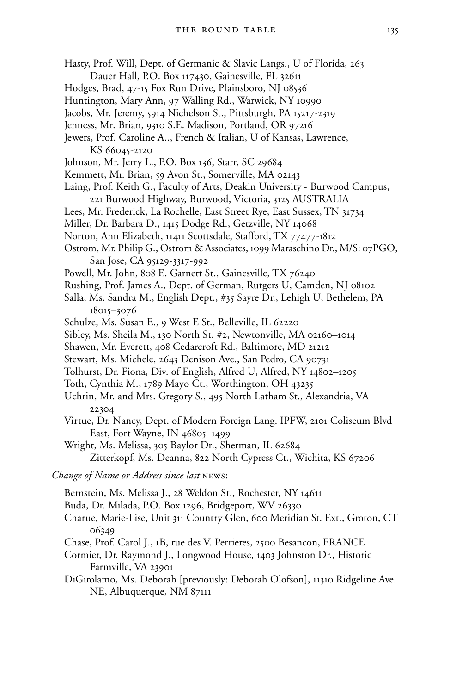- Hasty, Prof. Will, Dept. of Germanic & Slavic Langs., U of Florida, 263 Dauer Hall, P.O. Box 117430, Gainesville, FL 32611
- Hodges, Brad, 47-15 Fox Run Drive, Plainsboro, NJ 08536
- Huntington, Mary Ann, 97 Walling Rd., Warwick, NY 10990
- Jacobs, Mr. Jeremy, 5914 Nichelson St., Pittsburgh, PA 15217-2319
- Jenness, Mr. Brian, 9310 S.E. Madison, Portland, OR 97216
- Jewers, Prof. Caroline A.., French & Italian, U of Kansas, Lawrence, KS 66045-2120
- Johnson, Mr. Jerry L., P.O. Box 136, Starr, SC 29684
- Kemmett, Mr. Brian, 59 Avon St., Somerville, MA 02143
- Laing, Prof. Keith G., Faculty of Arts, Deakin University Burwood Campus, 221 Burwood Highway, Burwood, Victoria, 3125 AUSTRALIA
- Lees, Mr. Frederick, La Rochelle, East Street Rye, East Sussex, TN 31734
- Miller, Dr. Barbara D., 1415 Dodge Rd., Getzville, NY 14068
- Norton, Ann Elizabeth, 11411 Scottsdale, Stafford, TX 77477-1812
- Ostrom, Mr. Philip G., Ostrom & Associates, 1099 Maraschino Dr., M/S: 07PGO, San Jose, CA 95129-3317-992
- Powell, Mr. John, 808 E. Garnett St., Gainesville, TX 76240
- Rushing, Prof. James A., Dept. of German, Rutgers U, Camden, NJ 08102
- Salla, Ms. Sandra M., English Dept., #35 Sayre Dr., Lehigh U, Bethelem, PA 18015–3076
- Schulze, Ms. Susan E., 9 West E St., Belleville, IL 62220
- Sibley, Ms. Sheila M., 130 North St. #2, Newtonville, MA 02160–1014
- Shawen, Mr. Everett, 408 Cedarcroft Rd., Baltimore, MD 21212
- Stewart, Ms. Michele, 2643 Denison Ave., San Pedro, CA 90731
- Tolhurst, Dr. Fiona, Div. of English, Alfred U, Alfred, NY 14802–1205
- Toth, Cynthia M., 1789 Mayo Ct., Worthington, OH 43235
- Uchrin, Mr. and Mrs. Gregory S., 495 North Latham St., Alexandria, VA 22304
- Virtue, Dr. Nancy, Dept. of Modern Foreign Lang. IPFW, 2101 Coliseum Blvd East, Fort Wayne, IN 46805–1499
- Wright, Ms. Melissa, 305 Baylor Dr., Sherman, IL 62684 Zitterkopf, Ms. Deanna, 822 North Cypress Ct., Wichita, KS 67206

*Change of Name or Address since last* news:

- Bernstein, Ms. Melissa J., 28 Weldon St., Rochester, NY 14611
- Buda, Dr. Milada, P.O. Box 1296, Bridgeport, WV 26330
- Charue, Marie-Lise, Unit 311 Country Glen, 600 Meridian St. Ext., Groton, CT 06349
- Chase, Prof. Carol J., 1B, rue des V. Perrieres, 2500 Besancon, FRANCE
- Cormier, Dr. Raymond J., Longwood House, 1403 Johnston Dr., Historic Farmville, VA 23901
- DiGirolamo, Ms. Deborah [previously: Deborah Olofson], 11310 Ridgeline Ave. NE, Albuquerque, NM 87111